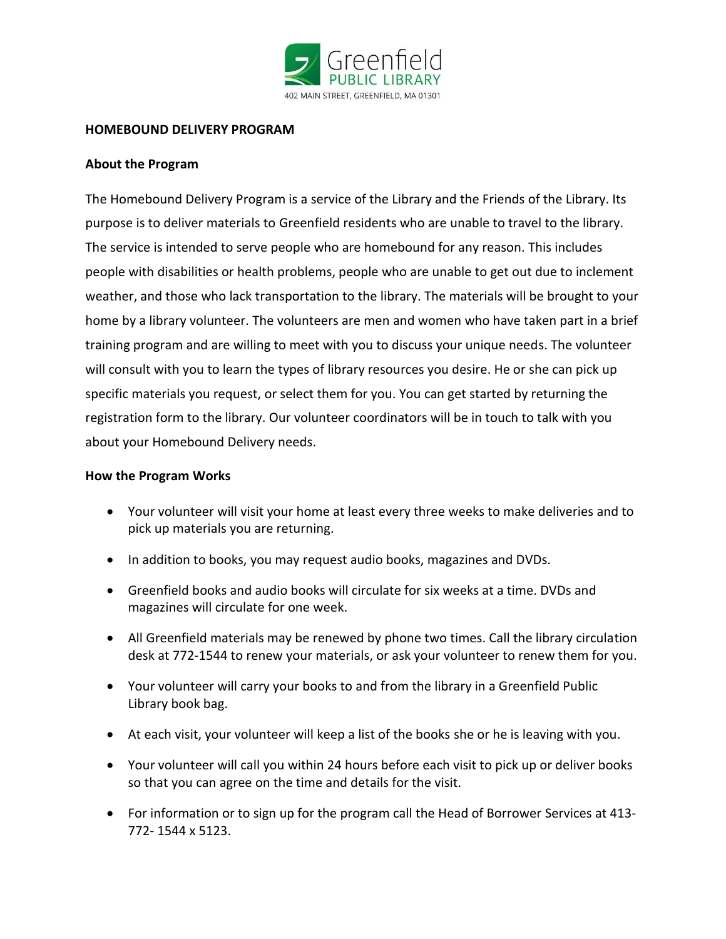

## **HOMEBOUND DELIVERY PROGRAM**

## **About the Program**

The Homebound Delivery Program is a service of the Library and the Friends of the Library. Its purpose is to deliver materials to Greenfield residents who are unable to travel to the library. The service is intended to serve people who are homebound for any reason. This includes people with disabilities or health problems, people who are unable to get out due to inclement weather, and those who lack transportation to the library. The materials will be brought to your home by a library volunteer. The volunteers are men and women who have taken part in a brief training program and are willing to meet with you to discuss your unique needs. The volunteer will consult with you to learn the types of library resources you desire. He or she can pick up specific materials you request, or select them for you. You can get started by returning the registration form to the library. Our volunteer coordinators will be in touch to talk with you about your Homebound Delivery needs.

## **How the Program Works**

- Your volunteer will visit your home at least every three weeks to make deliveries and to pick up materials you are returning.
- In addition to books, you may request audio books, magazines and DVDs.
- Greenfield books and audio books will circulate for six weeks at a time. DVDs and magazines will circulate for one week.
- All Greenfield materials may be renewed by phone two times. Call the library circulation desk at 772-1544 to renew your materials, or ask your volunteer to renew them for you.
- Your volunteer will carry your books to and from the library in a Greenfield Public Library book bag.
- At each visit, your volunteer will keep a list of the books she or he is leaving with you.
- Your volunteer will call you within 24 hours before each visit to pick up or deliver books so that you can agree on the time and details for the visit.
- For information or to sign up for the program call the Head of Borrower Services at 413- 772- 1544 x 5123.